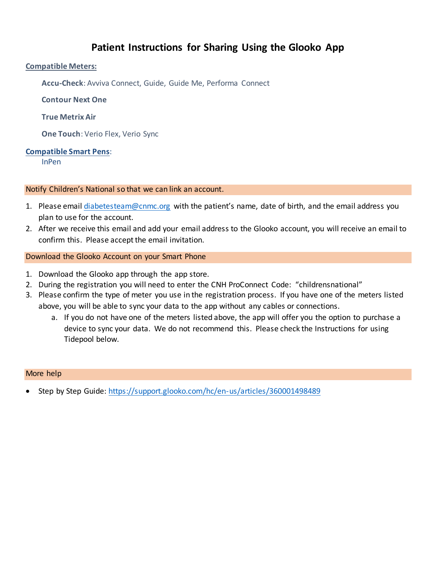# **Patient Instructions for Sharing Using the Glooko App**

### **Compatible Meters:**

**Accu-Check**: Avviva Connect, Guide, Guide Me, Performa Connect

**Contour Next One**

### **True Metrix Air**

**One Touch**: Verio Flex, Verio Sync

### **Compatible Smart Pens**:

InPen

### Notify Children's National so that we can link an account.

- 1. Please emai[l diabetesteam@cnmc.org](mailto:diabetesteam@cnmc.org) with the patient's name, date of birth, and the email address you plan to use for the account.
- 2. After we receive this email and add your email address to the Glooko account, you will receive an email to confirm this. Please accept the email invitation.

### Download the Glooko Account on your Smart Phone

- 1. Download the Glooko app through the app store.
- 2. During the registration you will need to enter the CNH ProConnect Code: "childrensnational"
- 3. Please confirm the type of meter you use in the registration process. If you have one of the meters listed above, you will be able to sync your data to the app without any cables or connections.
	- a. If you do not have one of the meters listed above, the app will offer you the option to purchase a device to sync your data. We do not recommend this. Please check the Instructions for using Tidepool below.

### More help

Step by Step Guide:<https://support.glooko.com/hc/en-us/articles/360001498489>